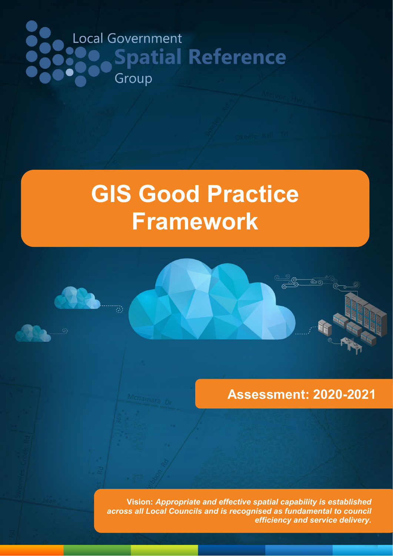# Local Government **Spatial Reference** Group

# **GIS Good Practice Framework**

# **Assessment: 2020-2021**

**Prepared by Spatial Vision Industry And Service delivery. Vision:** *Appropriate and effective spatial capability is established across all Local Councils and is recognised as fundamental to council*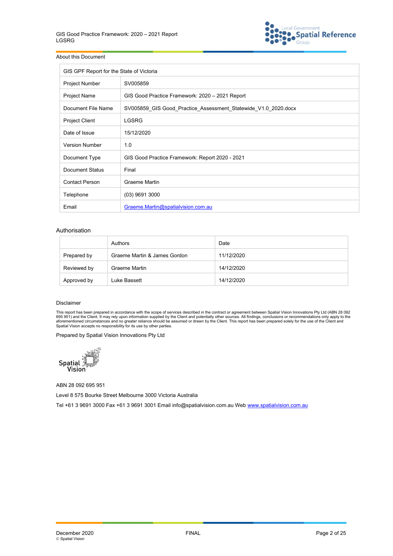

#### About this Document

| GIS GPF Report for the State of Victoria |                                                                |  |  |  |  |  |  |
|------------------------------------------|----------------------------------------------------------------|--|--|--|--|--|--|
| <b>Project Number</b>                    | SV005859                                                       |  |  |  |  |  |  |
| Project Name                             | GIS Good Practice Framework: 2020 - 2021 Report                |  |  |  |  |  |  |
| Document File Name                       | SV005859 GIS Good Practice Assessment Statewide V1.0 2020.docx |  |  |  |  |  |  |
| Project Client                           | <b>LGSRG</b>                                                   |  |  |  |  |  |  |
| Date of Issue                            | 15/12/2020                                                     |  |  |  |  |  |  |
| <b>Version Number</b>                    | 1.0                                                            |  |  |  |  |  |  |
| Document Type                            | GIS Good Practice Framework: Report 2020 - 2021                |  |  |  |  |  |  |
| Document Status                          | Final                                                          |  |  |  |  |  |  |
| <b>Contact Person</b>                    | Graeme Martin                                                  |  |  |  |  |  |  |
| Telephone                                | $(03)$ 9691 3000                                               |  |  |  |  |  |  |
| Email                                    | Graeme.Martin@spatialvision.com.au                             |  |  |  |  |  |  |

#### Authorisation

|             | Authors                      | Date       |
|-------------|------------------------------|------------|
| Prepared by | Graeme Martin & James Gordon | 11/12/2020 |
| Reviewed by | Graeme Martin                | 14/12/2020 |
| Approved by | Luke Bassett                 | 14/12/2020 |

#### Disclaimer

This report has been prepared in accordance with the scope of services described in the contract or agreement between Spatial Vision Innovations Pty Ltd (ABN 28 092<br>695 951) and the Client. It may rely upon information sup

Prepared by Spatial Vision Innovations Pty Ltd



ABN 28 092 695 951

Level 8 575 Bourke Street Melbourne 3000 Victoria Australia

Tel +61 3 9691 3000 Fax +61 3 9691 3001 Email info@spatialvision.com.au Web [www.spatialvision.com.au](http://www.spatialvision.com.au/)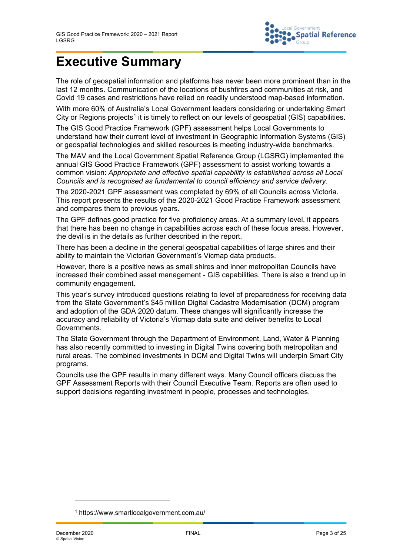

# **Executive Summary**

The role of geospatial information and platforms has never been more prominent than in the last 12 months. Communication of the locations of bushfires and communities at risk, and Covid 19 cases and restrictions have relied on readily understood map-based information.

With more 60% of Australia's Local Government leaders considering or undertaking Smart City or Regions projects<sup>[1](#page-2-0)</sup> it is timely to reflect on our levels of geospatial (GIS) capabilities.

The GIS Good Practice Framework (GPF) assessment helps Local Governments to understand how their current level of investment in Geographic Information Systems (GIS) or geospatial technologies and skilled resources is meeting industry-wide benchmarks.

The MAV and the Local Government Spatial Reference Group (LGSRG) implemented the annual GIS Good Practice Framework (GPF) assessment to assist working towards a common vision: *Appropriate and effective spatial capability is established across all Local Councils and is recognised as fundamental to council efficiency and service delivery*.

The 2020-2021 GPF assessment was completed by 69% of all Councils across Victoria. This report presents the results of the 2020-2021 Good Practice Framework assessment and compares them to previous years.

The GPF defines good practice for five proficiency areas. At a summary level, it appears that there has been no change in capabilities across each of these focus areas. However, the devil is in the details as further described in the report.

There has been a decline in the general geospatial capabilities of large shires and their ability to maintain the Victorian Government's Vicmap data products.

However, there is a positive news as small shires and inner metropolitan Councils have increased their combined asset management - GIS capabilities. There is also a trend up in community engagement.

This year's survey introduced questions relating to level of preparedness for receiving data from the State Government's \$45 million Digital Cadastre Modernisation (DCM) program and adoption of the GDA 2020 datum. These changes will significantly increase the accuracy and reliability of Victoria's Vicmap data suite and deliver benefits to Local Governments.

The State Government through the Department of Environment, Land, Water & Planning has also recently committed to investing in Digital Twins covering both metropolitan and rural areas. The combined investments in DCM and Digital Twins will underpin Smart City programs.

Councils use the GPF results in many different ways. Many Council officers discuss the GPF Assessment Reports with their Council Executive Team. Reports are often used to support decisions regarding investment in people, processes and technologies.

j

<span id="page-2-0"></span><sup>1</sup> https://www.smartlocalgovernment.com.au/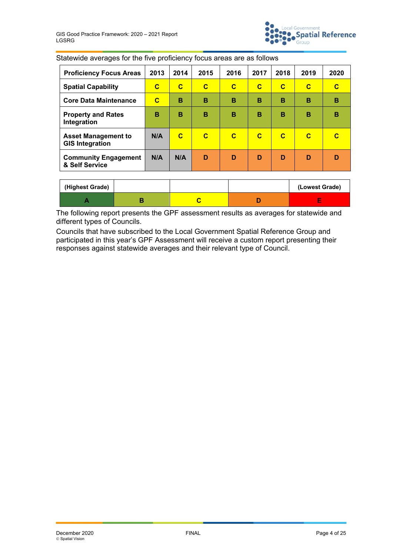

| <b>Proficiency Focus Areas</b>                       | 2013 | 2014         | 2015        | 2016        | 2017        | 2018        | 2019        | 2020 |
|------------------------------------------------------|------|--------------|-------------|-------------|-------------|-------------|-------------|------|
| <b>Spatial Capability</b>                            | C    | $\mathbf{C}$ | $\mathbf C$ | $\mathbf C$ | $\mathbf C$ | $\mathbf C$ | $\mathbf C$ | С    |
| <b>Core Data Maintenance</b>                         | C    | B            | B           | в           | B           | B           | B           | в    |
| <b>Property and Rates</b><br>Integration             | B    | B            | в           | в           | B           | B           | в           | в    |
| <b>Asset Management to</b><br><b>GIS Integration</b> | N/A  | $\mathbf C$  | C           | $\mathbf C$ | $\mathbf C$ | $\mathbf C$ | C           |      |
| <b>Community Engagement</b><br>& Self Service        | N/A  | N/A          | D           | D           | D           | D           | D           | D    |

Statewide averages for the five proficiency focus areas are as follows

| (Highest Grade) |  | (Lowest Grade) |
|-----------------|--|----------------|
|                 |  | $\sim$         |

The following report presents the GPF assessment results as averages for statewide and different types of Councils.

Councils that have subscribed to the Local Government Spatial Reference Group and participated in this year's GPF Assessment will receive a custom report presenting their responses against statewide averages and their relevant type of Council.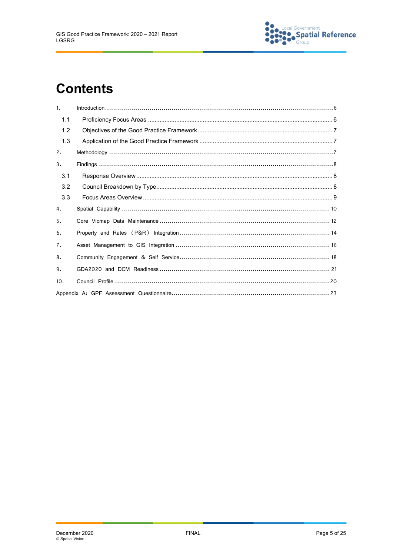

# **Contents**

| 1.  |  |
|-----|--|
| 1.1 |  |
| 1.2 |  |
| 1.3 |  |
| 2.  |  |
| 3.  |  |
| 3.1 |  |
| 3.2 |  |
| 3.3 |  |
| 4.  |  |
| 5.  |  |
| 6.  |  |
| 7.  |  |
| 8.  |  |
| 9.  |  |
| 10. |  |
|     |  |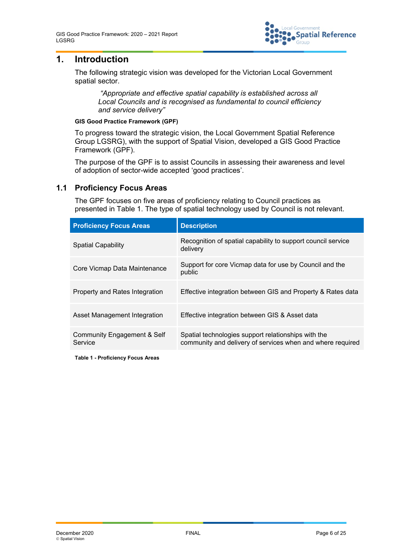

# **1. Introduction**

The following strategic vision was developed for the Victorian Local Government spatial sector.

*"Appropriate and effective spatial capability is established across all Local Councils and is recognised as fundamental to council efficiency and service delivery"*

#### **GIS Good Practice Framework (GPF)**

To progress toward the strategic vision, the Local Government Spatial Reference Group LGSRG), with the support of Spatial Vision, developed a GIS Good Practice Framework (GPF).

The purpose of the GPF is to assist Councils in assessing their awareness and level of adoption of sector-wide accepted 'good practices'.

#### **1.1 Proficiency Focus Areas**

The GPF focuses on five areas of proficiency relating to Council practices as presented in [Table 1.](#page-5-0) The type of spatial technology used by Council is not relevant.

| <b>Proficiency Focus Areas</b>         | <b>Description</b>                                                                                                |
|----------------------------------------|-------------------------------------------------------------------------------------------------------------------|
| <b>Spatial Capability</b>              | Recognition of spatial capability to support council service<br>delivery                                          |
| Core Vicmap Data Maintenance           | Support for core Vicmap data for use by Council and the<br>public                                                 |
| Property and Rates Integration         | Effective integration between GIS and Property & Rates data                                                       |
| Asset Management Integration           | Effective integration between GIS & Asset data                                                                    |
| Community Engagement & Self<br>Service | Spatial technologies support relationships with the<br>community and delivery of services when and where required |

<span id="page-5-0"></span>**Table 1 - Proficiency Focus Areas**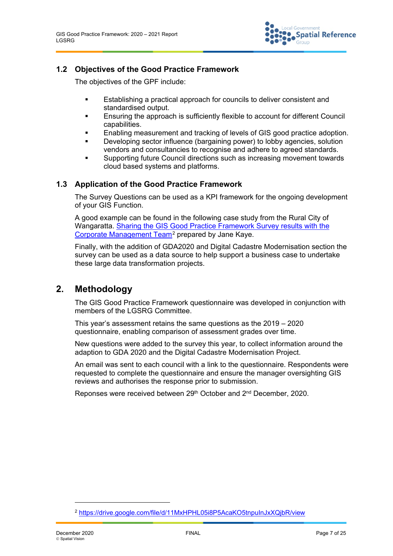

#### **1.2 Objectives of the Good Practice Framework**

The objectives of the GPF include:

- Establishing a practical approach for councils to deliver consistent and standardised output.
- Ensuring the approach is sufficiently flexible to account for different Council capabilities.
- **Enabling measurement and tracking of levels of GIS good practice adoption.**
- Developing sector influence (bargaining power) to lobby agencies, solution vendors and consultancies to recognise and adhere to agreed standards.
- Supporting future Council directions such as increasing movement towards cloud based systems and platforms.

#### **1.3 Application of the Good Practice Framework**

The Survey Questions can be used as a KPI framework for the ongoing development of your GIS Function.

A good example can be found in the following case study from the Rural City of Wangaratta. [Sharing the GIS Good Practice Framework Survey results with the](https://drive.google.com/file/d/11MxHPHL05i8P5AcaKO5tnpuInJxXQjbR/view)  [Corporate Management Team](https://drive.google.com/file/d/11MxHPHL05i8P5AcaKO5tnpuInJxXQjbR/view)<sup>[2](#page-6-0)</sup> prepared by Jane Kaye.

Finally, with the addition of GDA2020 and Digital Cadastre Modernisation section the survey can be used as a data source to help support a business case to undertake these large data transformation projects.

## **2. Methodology**

The GIS Good Practice Framework questionnaire was developed in conjunction with members of the LGSRG Committee.

This year's assessment retains the same questions as the 2019 – 2020 questionnaire, enabling comparison of assessment grades over time.

New questions were added to the survey this year, to collect information around the adaption to GDA 2020 and the Digital Cadastre Modernisation Project.

An email was sent to each council with a link to the questionnaire. Respondents were requested to complete the questionnaire and ensure the manager oversighting GIS reviews and authorises the response prior to submission.

Reponses were received between 29<sup>th</sup> October and 2<sup>nd</sup> December, 2020.

j

<span id="page-6-0"></span><sup>&</sup>lt;sup>2</sup> <https://drive.google.com/file/d/11MxHPHL05i8P5AcaKO5tnpuInJxXQjbR/view>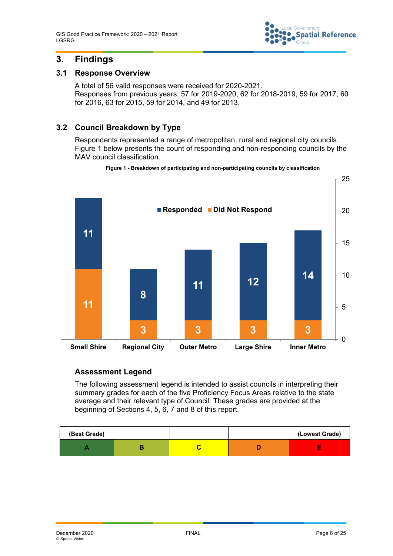

# **3. Findings**

#### **3.1 Response Overview**

A total of 56 valid responses were received for 2020-2021. Responses from previous years: 57 for 2019-2020, 62 for 2018-2019, 59 for 2017, 60 for 2016, 63 for 2015, 59 for 2014, and 49 for 2013.

## **3.2 Council Breakdown by Type**

Respondents represented a range of metropolitan, rural and regional city councils. [Figure 1](#page-7-0) below presents the count of responding and non-responding councils by the MAV council classification.

<span id="page-7-0"></span>

**Figure 1 - Breakdown of participating and non-participating councils by classification**

## **Assessment Legend**

The following assessment legend is intended to assist councils in interpreting their summary grades for each of the five Proficiency Focus Areas relative to the state average and their relevant type of Council. These grades are provided at the beginning of Sections 4, 5, 6, 7 and 8 of this report.

| (Best Grade) |  | (Lowest Grade) |
|--------------|--|----------------|
|              |  | $\sim$         |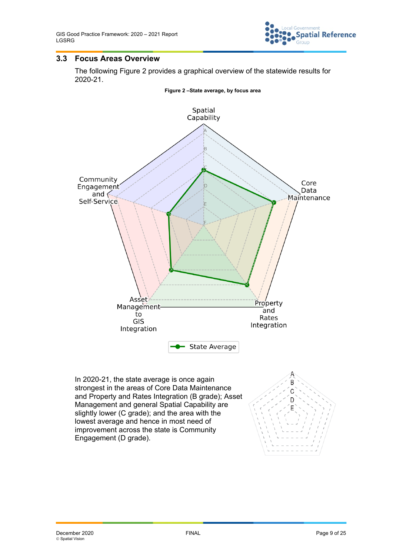

#### **3.3 Focus Areas Overview**

The following [Figure 2](#page-8-0) provides a graphical overview of the statewide results for 2020-21.

<span id="page-8-0"></span>

In 2020-21, the state average is once again strongest in the areas of Core Data Maintenance and Property and Rates Integration (B grade); Asset Management and general Spatial Capability are slightly lower (C grade); and the area with the lowest average and hence in most need of improvement across the state is Community Engagement (D grade).

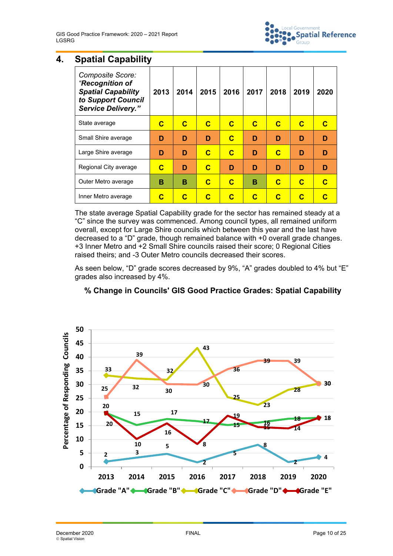

# **4. Spatial Capability**

| Composite Score:<br>"Recognition of<br><b>Spatial Capability</b><br>to Support Council<br><b>Service Delivery."</b> | 2013 | 2014 | 2015 | 2016 | 2017 | 2018 | 2019 | 2020 |
|---------------------------------------------------------------------------------------------------------------------|------|------|------|------|------|------|------|------|
| State average                                                                                                       | С    | C    | C    | C    | C    | C    | C    |      |
| Small Shire average                                                                                                 | D    | D    | D    | C    | D    | D    | D    | D    |
| Large Shire average                                                                                                 | D    | D    | C    | C    | D    | C    | D    | D    |
| Regional City average                                                                                               | С    | D    | C    | D    | D    | D    | D    | D    |
| Outer Metro average                                                                                                 | в    | в    | C    | C    | в    | C    | C    | C    |
| Inner Metro average                                                                                                 | С    | C    | С    | C    | C    | С    | С    |      |

The state average Spatial Capability grade for the sector has remained steady at a "C" since the survey was commenced. Among council types, all remained uniform overall, except for Large Shire councils which between this year and the last have decreased to a "D" grade, though remained balance with +0 overall grade changes. +3 Inner Metro and +2 Small Shire councils raised their score; 0 Regional Cities raised theirs; and -3 Outer Metro councils decreased their scores.

As seen below, "D" grade scores decreased by 9%, "A" grades doubled to 4% but "E" grades also increased by 4%.



## **% Change in Councils' GIS Good Practice Grades: Spatial Capability**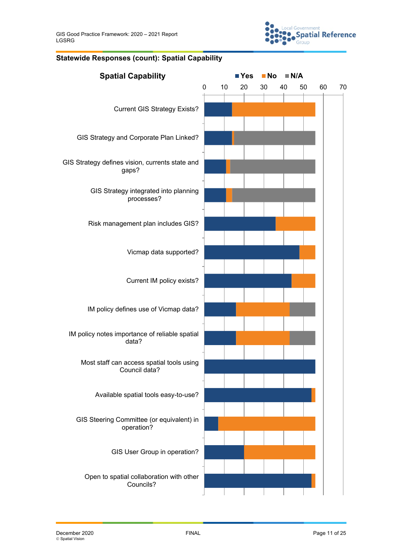

#### **Statewide Responses (count): Spatial Capability**

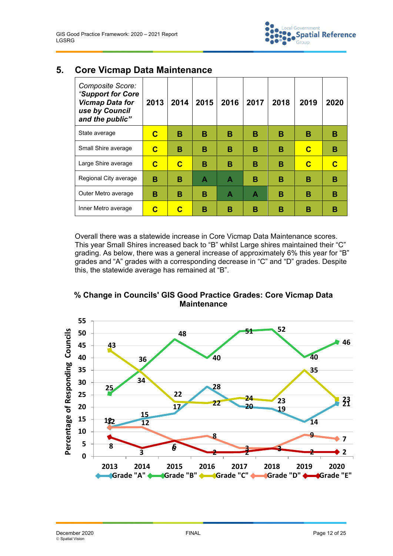| Composite Score:<br>"Support for Core<br><b>Vicmap Data for</b><br>use by Council<br>and the public" | 2013 | 2014        | 2015 | 2016 | 2017 | 2018 | 2019 | 2020 |
|------------------------------------------------------------------------------------------------------|------|-------------|------|------|------|------|------|------|
| State average                                                                                        | C    | B           | в    | в    | в    | В    | в    | В    |
| Small Shire average                                                                                  | C    | в           | в    | в    | в    | в    | C    | в    |
| Large Shire average                                                                                  | C    | $\mathbf C$ | в    | в    | в    | в    | C    | C    |
| Regional City average                                                                                | в    | в           | A    | A    | в    | в    | в    | в    |
| Outer Metro average                                                                                  | в    | в           | в    | A    | Α    | в    | в    | в    |
| Inner Metro average                                                                                  | C    | C           | в    | в    | в    | в    | в    | в    |

# **5. Core Vicmap Data Maintenance**

Overall there was a statewide increase in Core Vicmap Data Maintenance scores. This year Small Shires increased back to "B" whilst Large shires maintained their "C" grading. As below, there was a general increase of approximately 6% this year for "B" grades and "A" grades with a corresponding decrease in "C" and "D" grades. Despite this, the statewide average has remained at "B".

**% Change in Councils' GIS Good Practice Grades: Core Vicmap Data Maintenance**

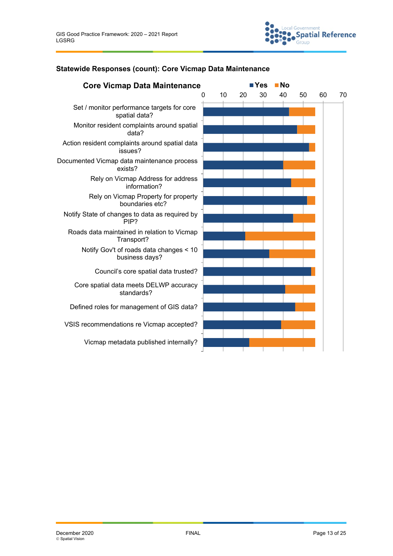

#### **Statewide Responses (count): Core Vicmap Data Maintenance**

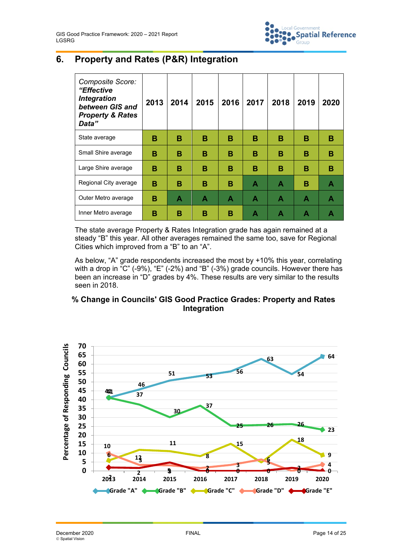

# **6. Property and Rates (P&R) Integration**

| Composite Score:<br>"Effective<br><b>Integration</b><br>between GIS and<br><b>Property &amp; Rates</b><br>Data" | 2013 | 2014 | 2015 | 2016 | 2017 | 2018 | 2019 | 2020 |
|-----------------------------------------------------------------------------------------------------------------|------|------|------|------|------|------|------|------|
| State average                                                                                                   | в    | в    | в    | В    | B    | В    | в    | В    |
| Small Shire average                                                                                             | в    | в    | в    | в    | в    | в    | в    | в    |
| Large Shire average                                                                                             | в    | в    | в    | в    | в    | в    | в    | в    |
| Regional City average                                                                                           | в    | в    | в    | в    | A    | A    | в    | A    |
| Outer Metro average                                                                                             | в    | A    | A    | A    | A    | A    | Α    | A    |
| Inner Metro average                                                                                             | в    | в    | в    | в    | А    | А    | А    |      |

The state average Property & Rates Integration grade has again remained at a steady "B" this year. All other averages remained the same too, save for Regional Cities which improved from a "B" to an "A".

As below, "A" grade respondents increased the most by +10% this year, correlating with a drop in "C" (-9%), "E" (-2%) and "B" (-3%) grade councils. However there has been an increase in "D" grades by 4%. These results are very similar to the results seen in 2018.

#### **% Change in Councils' GIS Good Practice Grades: Property and Rates Integration**

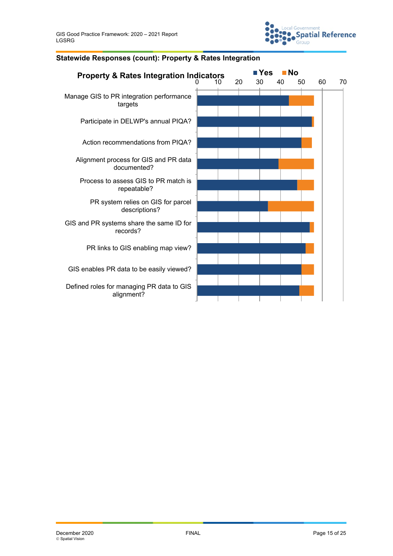

# **Property & Rates Integration Indicators ■ Yes ■ No**<br>10 20 30 40 50 60 70 Manage GIS to PR integration performance targets Participate in DELWP's annual PIQA? Action recommendations from PIQA? Alignment process for GIS and PR data documented? Process to assess GIS to PR match is repeatable? PR system relies on GIS for parcel descriptions? GIS and PR systems share the same ID for records? PR links to GIS enabling map view? GIS enables PR data to be easily viewed? Defined roles for managing PR data to GIS alignment?

#### **Statewide Responses (count): Property & Rates Integration**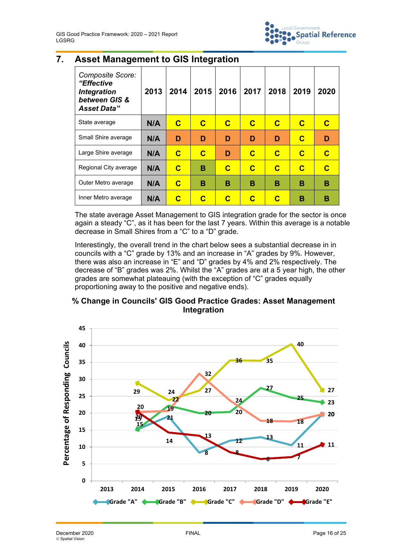

## **7. Asset Management to GIS Integration**

| Composite Score:<br>"Effective<br><b>Integration</b><br>between GIS &<br><b>Asset Data"</b> | 2013 | 2014        | 2015        | 2016        | 2017                    | 2018        | 2019        | 2020        |
|---------------------------------------------------------------------------------------------|------|-------------|-------------|-------------|-------------------------|-------------|-------------|-------------|
| State average                                                                               | N/A  | $\mathbf C$ | $\mathbf C$ | $\mathbf C$ | $\mathbf C$             | $\mathbf C$ | $\mathbf C$ | C           |
| Small Shire average                                                                         | N/A  | D           | D           | D           | D                       | D           | $\mathbf C$ | D           |
| Large Shire average                                                                         | N/A  | $\mathbf C$ | C           | D           | $\overline{\mathbf{C}}$ | $\mathbf C$ | $\mathbf C$ | $\mathbf C$ |
| Regional City average                                                                       | N/A  | C           | в           | $\mathbf C$ | $\mathbf C$             | $\mathbf C$ | $\mathbf C$ | $\mathbf C$ |
| Outer Metro average                                                                         | N/A  | $\mathbf C$ | в           | в           | в                       | в           | в           | в           |
| Inner Metro average                                                                         | N/A  | С           | С           | С           | C                       | C           | в           | в           |

The state average Asset Management to GIS integration grade for the sector is once again a steady "C", as it has been for the last 7 years. Within this average is a notable decrease in Small Shires from a "C" to a "D" grade.

Interestingly, the overall trend in the chart below sees a substantial decrease in in councils with a "C" grade by 13% and an increase in "A" grades by 9%. However, there was also an increase in "E" and "D" grades by 4% and 2% respectively. The decrease of "B" grades was 2%. Whilst the "A" grades are at a 5 year high, the other grades are somewhat plateauing (with the exception of "C" grades equally proportioning away to the positive and negative ends).

## **% Change in Councils' GIS Good Practice Grades: Asset Management Integration**

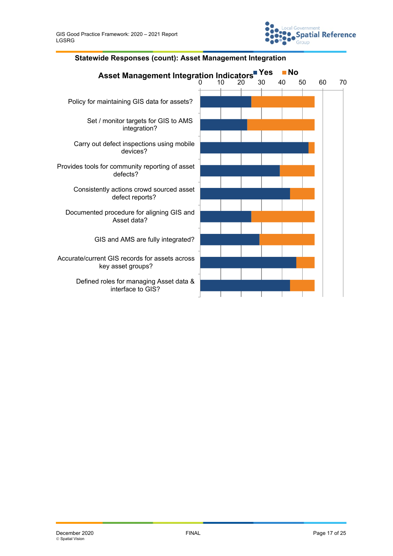

#### **Statewide Responses (count): Asset Management Integration**

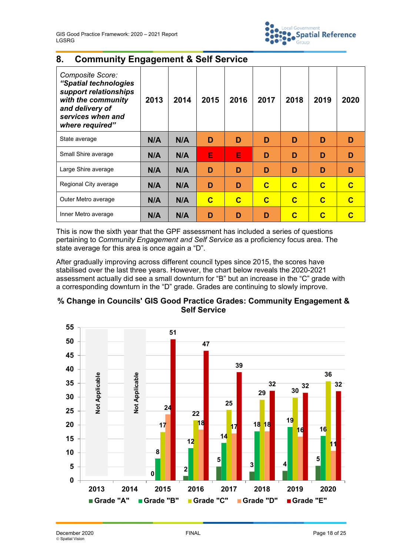

# **8. Community Engagement & Self Service**

| Composite Score:<br>"Spatial technologies<br>support relationships<br>with the community<br>and delivery of<br>services when and<br>where required" | 2013 | 2014 | 2015 | 2016 | 2017 | 2018        | 2019 | 2020 |
|-----------------------------------------------------------------------------------------------------------------------------------------------------|------|------|------|------|------|-------------|------|------|
| State average                                                                                                                                       | N/A  | N/A  | D    | D    | D    | D           | D    | D    |
| Small Shire average                                                                                                                                 | N/A  | N/A  | E    | E    | D    | D           | D    | D    |
| Large Shire average                                                                                                                                 | N/A  | N/A  | D    | D    | D    | D           | D    | D    |
| Regional City average                                                                                                                               | N/A  | N/A  | D    | D    | C    | $\mathbf C$ | C    | C    |
| Outer Metro average                                                                                                                                 | N/A  | N/A  | C    | C    | C    | C           | C    | C    |
| Inner Metro average                                                                                                                                 | N/A  | N/A  | D    | D    | D    | С           | C    |      |

This is now the sixth year that the GPF assessment has included a series of questions pertaining to *Community Engagement and Self Service* as a proficiency focus area. The state average for this area is once again a "D".

After gradually improving across different council types since 2015, the scores have stabilised over the last three years. However, the chart below reveals the 2020-2021 assessment actually did see a small downturn for "B" but an increase in the "C" grade with a corresponding downturn in the "D" grade. Grades are continuing to slowly improve.

### **% Change in Councils' GIS Good Practice Grades: Community Engagement & Self Service**

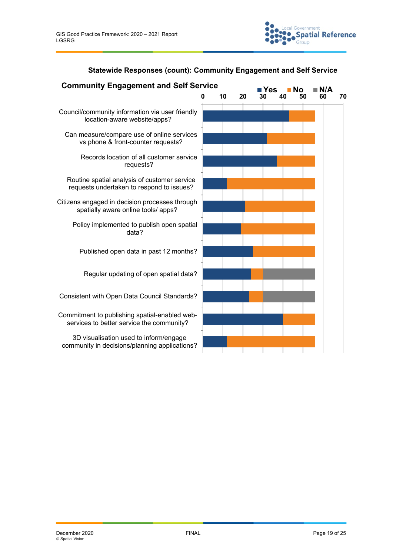

# **Statewide Responses (count): Community Engagement and Self Service**

| <b>Community Engagement and Self Service</b>                                               |    |    | <b>Yes</b> | Nο       |    |    |
|--------------------------------------------------------------------------------------------|----|----|------------|----------|----|----|
|                                                                                            | 10 | 20 |            | 50<br>40 | 60 | 70 |
| Council/community information via user friendly<br>location-aware website/apps?            |    |    |            |          |    |    |
| Can measure/compare use of online services<br>vs phone & front-counter requests?           |    |    |            |          |    |    |
| Records location of all customer service<br>requests?                                      |    |    |            |          |    |    |
| Routine spatial analysis of customer service<br>requests undertaken to respond to issues?  |    |    |            |          |    |    |
| Citizens engaged in decision processes through<br>spatially aware online tools/ apps?      |    |    |            |          |    |    |
| Policy implemented to publish open spatial<br>data?                                        |    |    |            |          |    |    |
| Published open data in past 12 months?                                                     |    |    |            |          |    |    |
| Regular updating of open spatial data?                                                     |    |    |            |          |    |    |
| Consistent with Open Data Council Standards?                                               |    |    |            |          |    |    |
| Commitment to publishing spatial-enabled web-<br>services to better service the community? |    |    |            |          |    |    |
| 3D visualisation used to inform/engage<br>community in decisions/planning applications?    |    |    |            |          |    |    |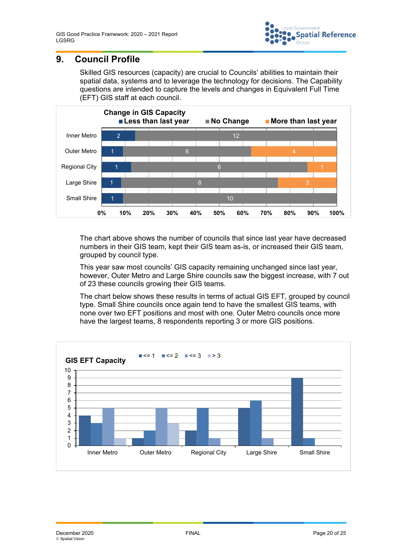

# **9. Council Profile**

Skilled GIS resources (capacity) are crucial to Councils' abilities to maintain their spatial data, systems and to leverage the technology for decisions. The Capability questions are intended to capture the levels and changes in Equivalent Full Time (EFT) GIS staff at each council.



The chart above shows the number of councils that since last year have decreased numbers in their GIS team, kept their GIS team as-is, or increased their GIS team, grouped by council type.

This year saw most councils' GIS capacity remaining unchanged since last year, however, Outer Metro and Large Shire councils saw the biggest increase, with 7 out of 23 these councils growing their GIS teams.

The chart below shows these results in terms of actual GIS EFT, grouped by council type. Small Shire councils once again tend to have the smallest GIS teams, with none over two EFT positions and most with one. Outer Metro councils once more have the largest teams, 8 respondents reporting 3 or more GIS positions.

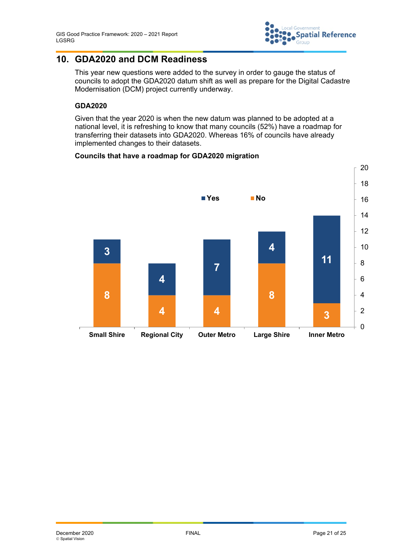

# **10. GDA2020 and DCM Readiness**

This year new questions were added to the survey in order to gauge the status of councils to adopt the GDA2020 datum shift as well as prepare for the Digital Cadastre Modernisation (DCM) project currently underway.

#### **GDA2020**

Given that the year 2020 is when the new datum was planned to be adopted at a national level, it is refreshing to know that many councils (52%) have a roadmap for transferring their datasets into GDA2020. Whereas 16% of councils have already implemented changes to their datasets.

#### **Councils that have a roadmap for GDA2020 migration**

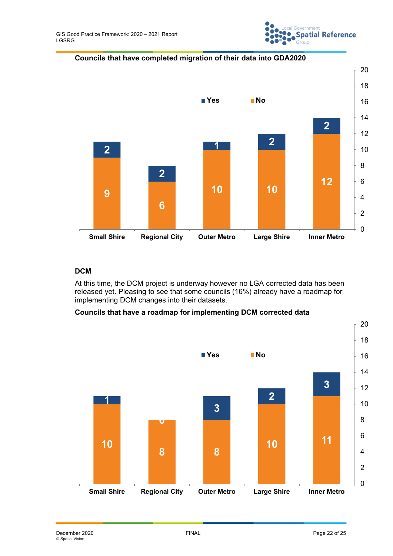

**Councils that have completed migration of their data into GDA2020**



#### **DCM**

At this time, the DCM project is underway however no LGA corrected data has been released yet. Pleasing to see that some councils (16%) already have a roadmap for implementing DCM changes into their datasets.

#### **Councils that have a roadmap for implementing DCM corrected data**

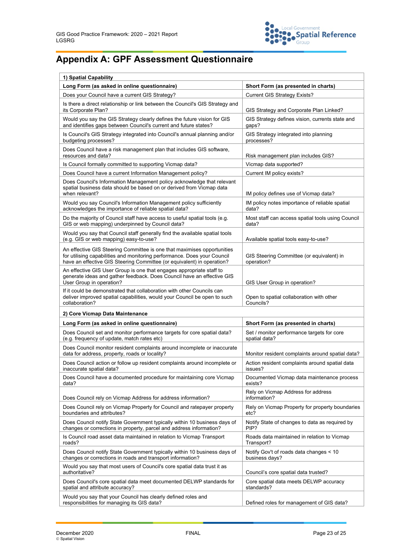

# **Appendix A: GPF Assessment Questionnaire**

| 1) Spatial Capability                                                                                                                                                                                                         |                                                             |  |  |
|-------------------------------------------------------------------------------------------------------------------------------------------------------------------------------------------------------------------------------|-------------------------------------------------------------|--|--|
| Long Form (as asked in online questionnaire)                                                                                                                                                                                  | Short Form (as presented in charts)                         |  |  |
| Does your Council have a current GIS Strategy?                                                                                                                                                                                | <b>Current GIS Strategy Exists?</b>                         |  |  |
| Is there a direct relationship or link between the Council's GIS Strategy and<br>its Corporate Plan?                                                                                                                          | GIS Strategy and Corporate Plan Linked?                     |  |  |
| Would you say the GIS Strategy clearly defines the future vision for GIS<br>and identifies gaps between Council's current and future states?                                                                                  | GIS Strategy defines vision, currents state and<br>gaps?    |  |  |
| Is Council's GIS Strategy integrated into Council's annual planning and/or<br>budgeting processes?                                                                                                                            | GIS Strategy integrated into planning<br>processes?         |  |  |
| Does Council have a risk management plan that includes GIS software,<br>resources and data?                                                                                                                                   | Risk management plan includes GIS?                          |  |  |
| Is Council formally committed to supporting Vicmap data?                                                                                                                                                                      | Vicmap data supported?                                      |  |  |
| Does Council have a current Information Management policy?                                                                                                                                                                    | Current IM policy exists?                                   |  |  |
| Does Council's Information Management policy acknowledge that relevant<br>spatial business data should be based on or derived from Vicmap data<br>when relevant?                                                              | IM policy defines use of Vicmap data?                       |  |  |
| Would you say Council's Information Management policy sufficiently<br>acknowledges the importance of reliable spatial data?                                                                                                   | IM policy notes importance of reliable spatial<br>data?     |  |  |
| Do the majority of Council staff have access to useful spatial tools (e.g.<br>GIS or web mapping) underpinned by Council data?                                                                                                | Most staff can access spatial tools using Council<br>data?  |  |  |
| Would you say that Council staff generally find the available spatial tools<br>(e.g. GIS or web mapping) easy-to-use?                                                                                                         | Available spatial tools easy-to-use?                        |  |  |
| An effective GIS Steering Committee is one that maximises opportunities<br>for utilising capabilities and monitoring performance. Does your Council<br>have an effective GIS Steering Committee (or equivalent) in operation? | GIS Steering Committee (or equivalent) in<br>operation?     |  |  |
| An effective GIS User Group is one that engages appropriate staff to<br>generate ideas and gather feedback. Does Council have an effective GIS<br>User Group in operation?                                                    | GIS User Group in operation?                                |  |  |
| If it could be demonstrated that collaboration with other Councils can<br>deliver improved spatial capabilities, would your Council be open to such<br>collaboration?                                                         | Open to spatial collaboration with other<br>Councils?       |  |  |
| 2) Core Vicmap Data Maintenance                                                                                                                                                                                               |                                                             |  |  |
| Long Form (as asked in online questionnaire)                                                                                                                                                                                  | Short Form (as presented in charts)                         |  |  |
| Does Council set and monitor performance targets for core spatial data?<br>(e.g. frequency of update, match rates etc)                                                                                                        | Set / monitor performance targets for core<br>spatial data? |  |  |
| Does Council monitor resident complaints around incomplete or inaccurate<br>data for address, property, roads or locality?                                                                                                    | Monitor resident complaints around spatial data?            |  |  |
| Does Council action or follow up resident complaints around incomplete or<br>inaccurate spatial data?                                                                                                                         | Action resident complaints around spatial data<br>issues?   |  |  |
| Does Council have a documented procedure for maintaining core Vicmap<br>data?                                                                                                                                                 | Documented Vicmap data maintenance process<br>exists?       |  |  |
| Does Council rely on Vicmap Address for address information?                                                                                                                                                                  | Rely on Vicmap Address for address<br>information?          |  |  |
| Does Council rely on Vicmap Property for Council and ratepayer property<br>boundaries and attributes?                                                                                                                         | Rely on Vicmap Property for property boundaries<br>etc?     |  |  |
| Does Council notify State Government typically within 10 business days of<br>changes or corrections in property, parcel and address information?                                                                              | Notify State of changes to data as required by<br>PIP?      |  |  |
| Is Council road asset data maintained in relation to Vicmap Transport<br>roads?                                                                                                                                               | Roads data maintained in relation to Vicmap<br>Transport?   |  |  |
| Does Council notify State Government typically within 10 business days of<br>changes or corrections in roads and transport information?                                                                                       | Notify Gov't of roads data changes < 10<br>business days?   |  |  |
| Would you say that most users of Council's core spatial data trust it as<br>authoritative?                                                                                                                                    | Council's core spatial data trusted?                        |  |  |
| Does Council's core spatial data meet documented DELWP standards for<br>spatial and attribute accuracy?                                                                                                                       | Core spatial data meets DELWP accuracy<br>standards?        |  |  |
| Would you say that your Council has clearly defined roles and<br>responsibilities for managing its GIS data?                                                                                                                  | Defined roles for management of GIS data?                   |  |  |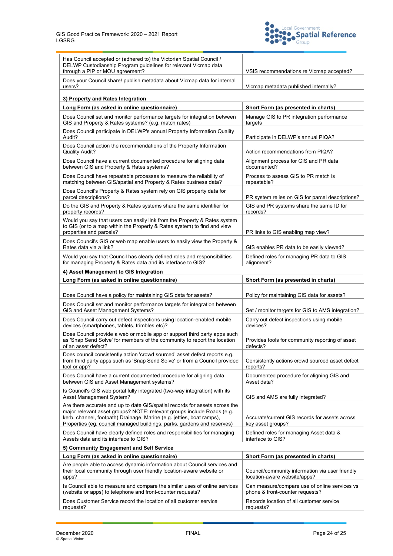

| Has Council accepted or (adhered to) the Victorian Spatial Council /<br>DELWP Custodianship Program guidelines for relevant Vicmap data<br>through a PIP or MOU agreement?                                                                                                                                | VSIS recommendations re Vicmap accepted?                                         |  |  |  |
|-----------------------------------------------------------------------------------------------------------------------------------------------------------------------------------------------------------------------------------------------------------------------------------------------------------|----------------------------------------------------------------------------------|--|--|--|
| Does your Council share/ publish metadata about Vicmap data for internal<br>users?                                                                                                                                                                                                                        | Vicmap metadata published internally?                                            |  |  |  |
| 3) Property and Rates Integration                                                                                                                                                                                                                                                                         |                                                                                  |  |  |  |
| Long Form (as asked in online questionnaire)                                                                                                                                                                                                                                                              | Short Form (as presented in charts)                                              |  |  |  |
| Does Council set and monitor performance targets for integration between<br>GIS and Property & Rates systems? (e.g. match rates)                                                                                                                                                                          | Manage GIS to PR integration performance<br>targets                              |  |  |  |
| Does Council participate in DELWP's annual Property Information Quality<br>Audit?                                                                                                                                                                                                                         | Participate in DELWP's annual PIQA?                                              |  |  |  |
| Does Council action the recommendations of the Property Information<br><b>Quality Audit?</b>                                                                                                                                                                                                              | Action recommendations from PIQA?                                                |  |  |  |
| Does Council have a current documented procedure for aligning data<br>between GIS and Property & Rates systems?                                                                                                                                                                                           | Alignment process for GIS and PR data<br>documented?                             |  |  |  |
| Does Council have repeatable processes to measure the reliability of<br>matching between GIS/spatial and Property & Rates business data?                                                                                                                                                                  | Process to assess GIS to PR match is<br>repeatable?                              |  |  |  |
| Does Council's Property & Rates system rely on GIS property data for<br>parcel descriptions?                                                                                                                                                                                                              | PR system relies on GIS for parcel descriptions?                                 |  |  |  |
| Do the GIS and Property & Rates systems share the same identifier for<br>property records?                                                                                                                                                                                                                | GIS and PR systems share the same ID for<br>records?                             |  |  |  |
| Would you say that users can easily link from the Property & Rates system<br>to GIS (or to a map within the Property & Rates system) to find and view<br>properties and parcels?                                                                                                                          | PR links to GIS enabling map view?                                               |  |  |  |
| Does Council's GIS or web map enable users to easily view the Property &<br>Rates data via a link?                                                                                                                                                                                                        | GIS enables PR data to be easily viewed?                                         |  |  |  |
| Would you say that Council has clearly defined roles and responsibilities<br>for managing Property & Rates data and its interface to GIS?                                                                                                                                                                 | Defined roles for managing PR data to GIS<br>alignment?                          |  |  |  |
| 4) Asset Management to GIS Integration                                                                                                                                                                                                                                                                    |                                                                                  |  |  |  |
| Long Form (as asked in online questionnaire)                                                                                                                                                                                                                                                              | Short Form (as presented in charts)                                              |  |  |  |
| Does Council have a policy for maintaining GIS data for assets?                                                                                                                                                                                                                                           | Policy for maintaining GIS data for assets?                                      |  |  |  |
| Does Council set and monitor performance targets for integration between<br>GIS and Asset Management Systems?                                                                                                                                                                                             | Set / monitor targets for GIS to AMS integration?                                |  |  |  |
| Does Council carry out defect inspections using location-enabled mobile<br>devices (smartphones, tablets, trimbles etc)?                                                                                                                                                                                  | Carry out defect inspections using mobile<br>devices?                            |  |  |  |
| Does Council provide a web or mobile app or support third party apps such<br>as 'Snap Send Solve' for members of the community to report the location<br>of an asset defect?                                                                                                                              | Provides tools for community reporting of asset<br>defects?                      |  |  |  |
| Does council consistently action 'crowd sourced' asset defect reports e.g.<br>from third party apps such as 'Snap Send Solve' or from a Council provided<br>tool or app?                                                                                                                                  | Consistently actions crowd sourced asset defect<br>reports?                      |  |  |  |
| Does Council have a current documented procedure for aligning data<br>between GIS and Asset Management systems?                                                                                                                                                                                           | Documented procedure for aligning GIS and<br>Asset data?                         |  |  |  |
| Is Council's GIS web portal fully integrated (two-way integration) with its<br>Asset Management System?                                                                                                                                                                                                   | GIS and AMS are fully integrated?                                                |  |  |  |
| Are there accurate and up to date GIS/spatial records for assets across the<br>major relevant asset groups? NOTE: relevant groups include Roads (e.g.<br>kerb, channel, footpath) Drainage, Marine (e.g. jetties, boat ramps),<br>Properties (eg. council managed buildings, parks, gardens and reserves) | Accurate/current GIS records for assets across<br>key asset groups?              |  |  |  |
| Does Council have clearly defined roles and responsibilities for managing<br>Assets data and its interface to GIS?                                                                                                                                                                                        | Defined roles for managing Asset data &<br>interface to GIS?                     |  |  |  |
| 5) Community Engagement and Self Service                                                                                                                                                                                                                                                                  |                                                                                  |  |  |  |
| Long Form (as asked in online questionnaire)                                                                                                                                                                                                                                                              | Short Form (as presented in charts)                                              |  |  |  |
| Are people able to access dynamic information about Council services and<br>their local community through user friendly location-aware website or<br>apps?                                                                                                                                                | Council/community information via user friendly<br>location-aware website/apps?  |  |  |  |
| Is Council able to measure and compare the similar uses of online services<br>(website or apps) to telephone and front-counter requests?                                                                                                                                                                  | Can measure/compare use of online services vs<br>phone & front-counter requests? |  |  |  |
| Does Customer Service record the location of all customer service<br>requests?                                                                                                                                                                                                                            | Records location of all customer service<br>requests?                            |  |  |  |